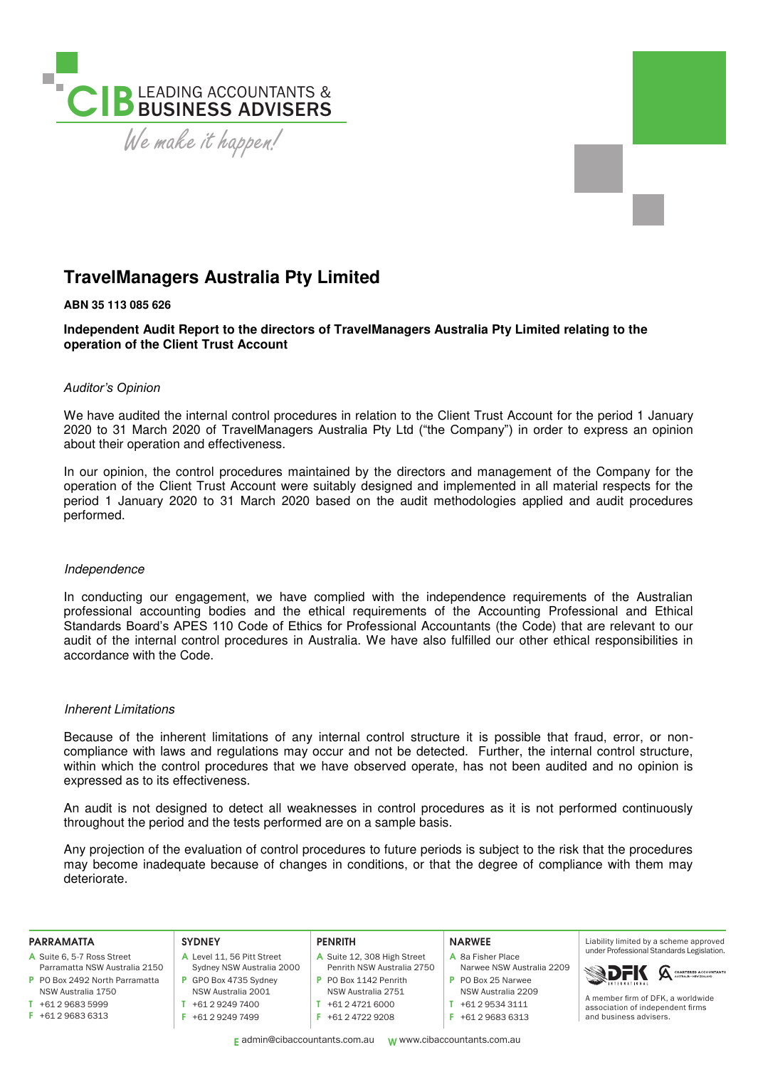

# **TravelManagers Australia Pty Limited**

## **ABN 35 113 085 626**

**Independent Audit Report to the directors of TravelManagers Australia Pty Limited relating to the operation of the Client Trust Account** 

#### *Auditor's Opinion*

We have audited the internal control procedures in relation to the Client Trust Account for the period 1 January 2020 to 31 March 2020 of TravelManagers Australia Pty Ltd ("the Company") in order to express an opinion about their operation and effectiveness.

In our opinion, the control procedures maintained by the directors and management of the Company for the operation of the Client Trust Account were suitably designed and implemented in all material respects for the period 1 January 2020 to 31 March 2020 based on the audit methodologies applied and audit procedures performed.

#### Independence

In conducting our engagement, we have complied with the independence requirements of the Australian professional accounting bodies and the ethical requirements of the Accounting Professional and Ethical Standards Board's APES 110 Code of Ethics for Professional Accountants (the Code) that are relevant to our audit of the internal control procedures in Australia. We have also fulfilled our other ethical responsibilities in accordance with the Code.

### Inherent Limitations

Because of the inherent limitations of any internal control structure it is possible that fraud, error, or noncompliance with laws and regulations may occur and not be detected. Further, the internal control structure, within which the control procedures that we have observed operate, has not been audited and no opinion is expressed as to its effectiveness.

An audit is not designed to detect all weaknesses in control procedures as it is not performed continuously throughout the period and the tests performed are on a sample basis.

Any projection of the evaluation of control procedures to future periods is subject to the risk that the procedures may become inadequate because of changes in conditions, or that the degree of compliance with them may deteriorate.

| <b>PARRAMATTA</b>              | <b>SYDNEY</b>             | <b>PENRITH</b>              | <b>NARWEE</b>             | Liability limited by a scheme approved                                |
|--------------------------------|---------------------------|-----------------------------|---------------------------|-----------------------------------------------------------------------|
| A Suite 6, 5-7 Ross Street     | Level 11, 56 Pitt Street  | A Suite 12, 308 High Street | A 8a Fisher Place         | under Professional Standards Legislation.                             |
| Parramatta NSW Australia 2150  | Sydney NSW Australia 2000 | Penrith NSW Australia 2750  | Narwee NSW Australia 2209 |                                                                       |
| P PO Box 2492 North Parramatta | GPO Box 4735 Sydney       | P PO Box 1142 Penrith       | P PO Box 25 Narwee        | <b>SDFK A CHARTERD ACCOUNTANTS</b>                                    |
| NSW Australia 1750             | NSW Australia 2001        | NSW Australia 2751          | NSW Australia 2209        |                                                                       |
| +61 2 9683 5999                | +61 2 9249 7400           | +61 2 4721 6000             | +61 2 9534 3111           | A member firm of DFK, a worldwide<br>association of independent firms |
| +61 2 9683 6313                | +61 2 9249 7499           | $F + 61247229208$           | +61 2 9683 6313           | and business advisers.                                                |